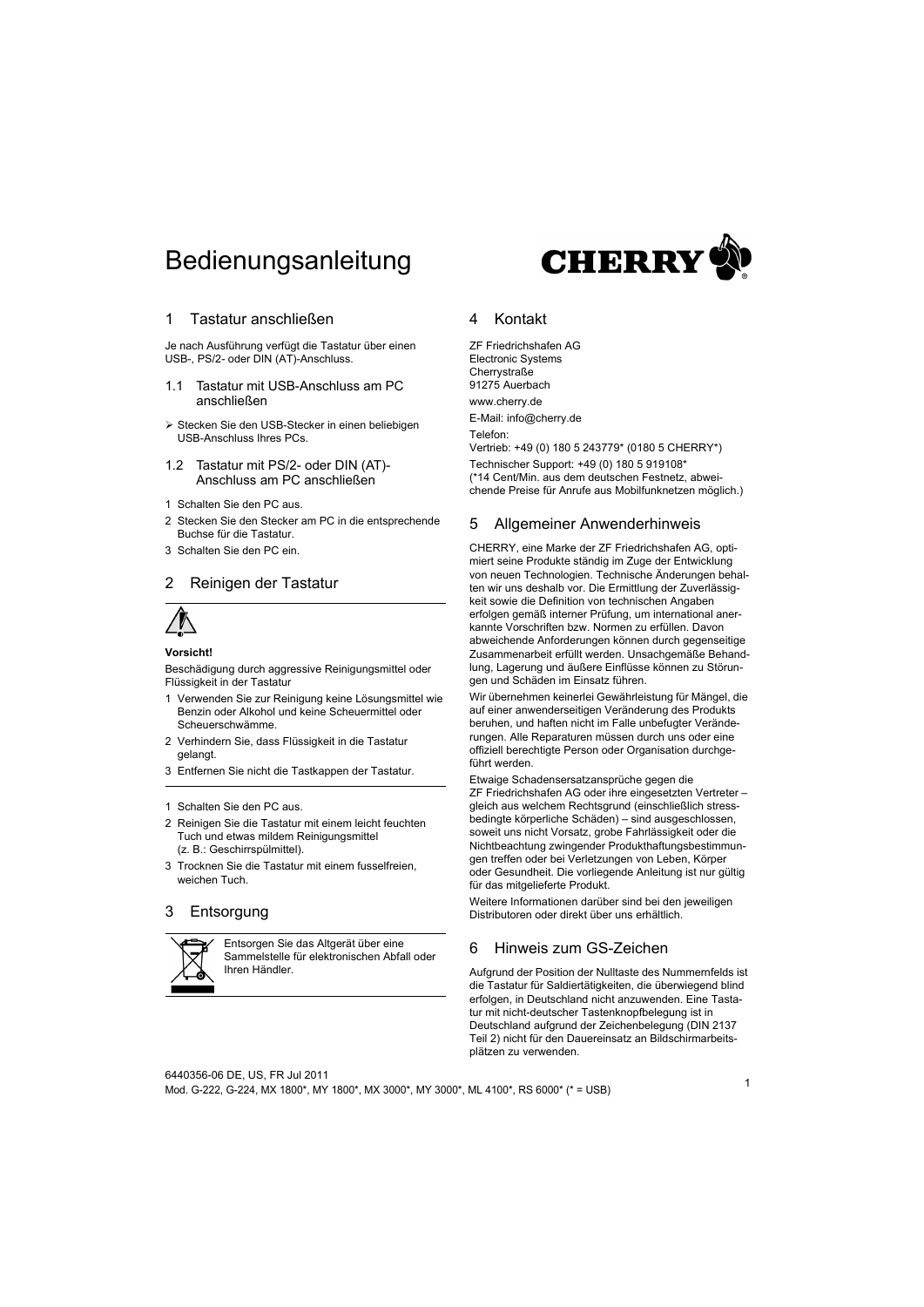# Bedienungsanleitung



### 1 Tastatur anschließen

Je nach Ausführung verfügt die Tastatur über einen USB-, PS/2- oder DIN (AT)-Anschluss.

- 1.1 Tastatur mit USB-Anschluss am PC anschließen
- Stecken Sie den USB-Stecker in einen beliebigen USB-Anschluss Ihres PCs.
- 1.2 Tastatur mit PS/2- oder DIN (AT)- Anschluss am PC anschließen
- 1 Schalten Sie den PC aus.
- 2 Stecken Sie den Stecker am PC in die entsprechende Buchse für die Tastatur.
- 3 Schalten Sie den PC ein.

### 2 Reinigen der Tastatur



### **Vorsicht!**

Beschädigung durch aggressive Reinigungsmittel oder Flüssigkeit in der Tastatur

- 1 Verwenden Sie zur Reinigung keine Lösungsmittel wie Benzin oder Alkohol und keine Scheuermittel oder Scheuerschwämme.
- 2 Verhindern Sie, dass Flüssigkeit in die Tastatur gelangt.
- 3 Entfernen Sie nicht die Tastkappen der Tastatur.
- 1 Schalten Sie den PC aus.
- 2 Reinigen Sie die Tastatur mit einem leicht feuchten Tuch und etwas mildem Reinigungsmittel (z. B.: Geschirrspülmittel).
- 3 Trocknen Sie die Tastatur mit einem fusselfreien, weichen Tuch.

### 3 Entsorgung



Entsorgen Sie das Altgerät über eine Sammelstelle für elektronischen Abfall oder Ihren Händler.

### 4 Kontakt

ZF Friedrichshafen AG Electronic Systems **Cherrystraße** 91275 Auerbach www.cherry.de E-Mail: info@cherry.de Telefon: Vertrieb: +49 (0) 180 5 243779\* (0180 5 CHERRY\*) Technischer Support: +49 (0) 180 5 919108\* (\*14 Cent/Min. aus dem deutschen Festnetz, abweichende Preise für Anrufe aus Mobilfunknetzen möglich.)

## 5 Allgemeiner Anwenderhinweis

CHERRY, eine Marke der ZF Friedrichshafen AG, optimiert seine Produkte ständig im Zuge der Entwicklung von neuen Technologien. Technische Änderungen behalten wir uns deshalb vor. Die Ermittlung der Zuverlässigkeit sowie die Definition von technischen Angaben erfolgen gemäß interner Prüfung, um international anerkannte Vorschriften bzw. Normen zu erfüllen. Davon abweichende Anforderungen können durch gegenseitige Zusammenarbeit erfüllt werden. Unsachgemäße Behandlung, Lagerung und äußere Einflüsse können zu Störungen und Schäden im Einsatz führen.

Wir übernehmen keinerlei Gewährleistung für Mängel, die auf einer anwenderseitigen Veränderung des Produkts beruhen, und haften nicht im Falle unbefugter Veränderungen. Alle Reparaturen müssen durch uns oder eine offiziell berechtigte Person oder Organisation durchgeführt werden.

Etwaige Schadensersatzansprüche gegen die ZF Friedrichshafen AG oder ihre eingesetzten Vertreter – gleich aus welchem Rechtsgrund (einschließlich stressbedingte körperliche Schäden) – sind ausgeschlossen, soweit uns nicht Vorsatz, grobe Fahrlässigkeit oder die Nichtbeachtung zwingender Produkthaftungsbestimmungen treffen oder bei Verletzungen von Leben, Körper oder Gesundheit. Die vorliegende Anleitung ist nur gültig für das mitgelieferte Produkt.

Weitere Informationen darüber sind bei den jeweiligen Distributoren oder direkt über uns erhältlich.

### 6 Hinweis zum GS-Zeichen

Aufgrund der Position der Nulltaste des Nummernfelds ist die Tastatur für Saldiertätigkeiten, die überwiegend blind erfolgen, in Deutschland nicht anzuwenden. Eine Tastatur mit nicht-deutscher Tastenknopfbelegung ist in Deutschland aufgrund der Zeichenbelegung (DIN 2137 Teil 2) nicht für den Dauereinsatz an Bildschirmarbeitsplätzen zu verwenden.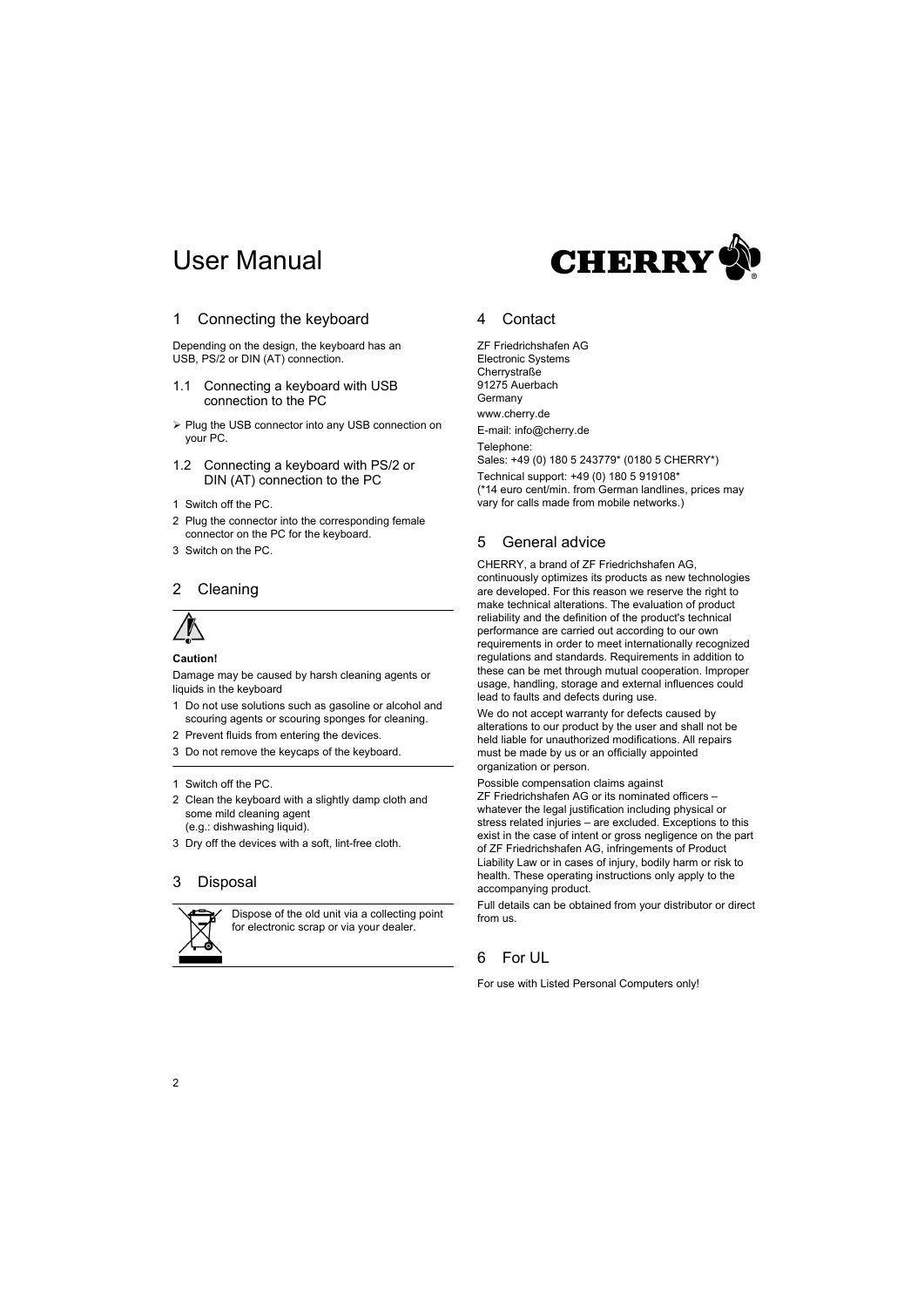# User Manual



## 1 Connecting the keyboard

Depending on the design, the keyboard has an USB, PS/2 or DIN (AT) connection.

- 1.1 Connecting a keyboard with USB connection to the PC
- Plug the USB connector into any USB connection on your PC.
- 1.2 Connecting a keyboard with PS/2 or DIN (AT) connection to the PC
- 1 Switch off the PC.
- 2 Plug the connector into the corresponding female connector on the PC for the keyboard.
- 3 Switch on the PC.

### 2 Cleaning



### **Caution!**

Damage may be caused by harsh cleaning agents or liquids in the keyboard

- 1 Do not use solutions such as gasoline or alcohol and scouring agents or scouring sponges for cleaning.
- 2 Prevent fluids from entering the devices.
- 3 Do not remove the keycaps of the keyboard.
- 1 Switch off the PC.
- 2 Clean the keyboard with a slightly damp cloth and some mild cleaning agent (e.g.: dishwashing liquid).
- 3 Dry off the devices with a soft, lint-free cloth.

### 3 Disposal



Dispose of the old unit via a collecting point for electronic scrap or via your dealer.

### 4 Contact

ZF Friedrichshafen AG Electronic Systems **Cherrystraße** 91275 Auerbach Germany www.cherry.de E-mail: info@cherry.de Telephone: Sales: +49 (0) 180 5 243779\* (0180 5 CHERRY\*) Technical support: +49 (0) 180 5 919108\* (\*14 euro cent/min. from German landlines, prices may vary for calls made from mobile networks.)

### 5 General advice

CHERRY, a brand of ZF Friedrichshafen AG, continuously optimizes its products as new technologies are developed. For this reason we reserve the right to make technical alterations. The evaluation of product reliability and the definition of the product's technical performance are carried out according to our own requirements in order to meet internationally recognized regulations and standards. Requirements in addition to these can be met through mutual cooperation. Improper usage, handling, storage and external influences could lead to faults and defects during use.

We do not accept warranty for defects caused by alterations to our product by the user and shall not be held liable for unauthorized modifications. All repairs must be made by us or an officially appointed organization or person.

Possible compensation claims against ZF Friedrichshafen AG or its nominated officers – whatever the legal justification including physical or stress related injuries – are excluded. Exceptions to this exist in the case of intent or gross negligence on the part of ZF Friedrichshafen AG, infringements of Product Liability Law or in cases of injury, bodily harm or risk to health. These operating instructions only apply to the

Full details can be obtained from your distributor or direct from us.

# 6 For UL

accompanying product.

For use with Listed Personal Computers only!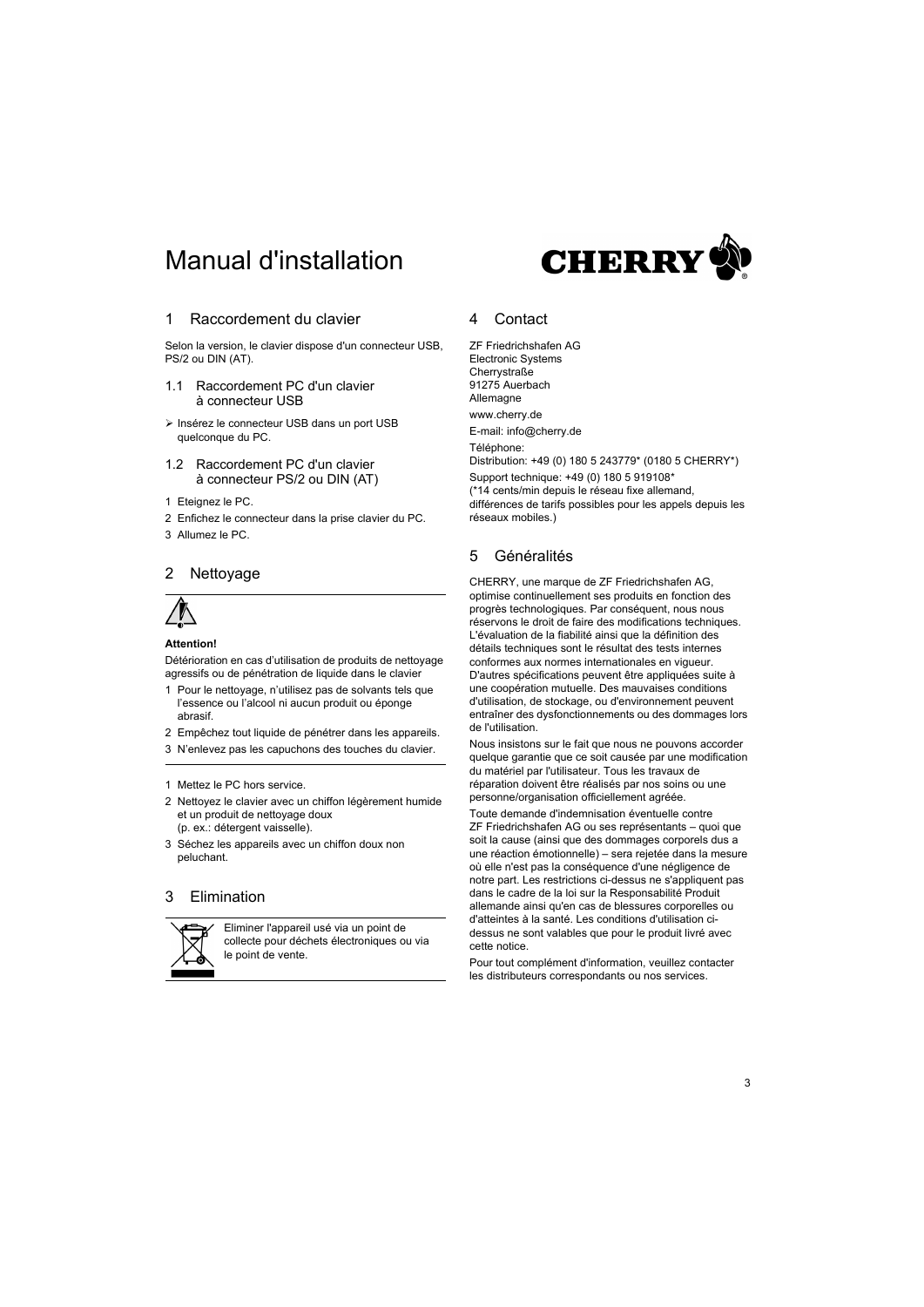# Manual d'installation



### 1 Raccordement du clavier

Selon la version, le clavier dispose d'un connecteur USB, PS/2 ou DIN (AT).

- 1.1 Raccordement PC d'un clavier à connecteur USB
- Insérez le connecteur USB dans un port USB quelconque du PC.
- 1.2 Raccordement PC d'un clavier à connecteur PS/2 ou DIN (AT)
- 1 Eteignez le PC.
- 2 Enfichez le connecteur dans la prise clavier du PC.
- 3 Allumez le PC.

### 2 Nettoyage



### **Attention!**

Détérioration en cas d'utilisation de produits de nettoyage agressifs ou de pénétration de liquide dans le clavier

- 1 Pour le nettoyage, n'utilisez pas de solvants tels que l'essence ou l'alcool ni aucun produit ou éponge abrasif.
- 2 Empêchez tout liquide de pénétrer dans les appareils.
- 3 N'enlevez pas les capuchons des touches du clavier.
- 1 Mettez le PC hors service.
- 2 Nettoyez le clavier avec un chiffon légèrement humide et un produit de nettoyage doux (p. ex.: détergent vaisselle).
- 3 Séchez les appareils avec un chiffon doux non peluchant.

### 3 Elimination



Eliminer l'appareil usé via un point de collecte pour déchets électroniques ou via le point de vente.

### 4 Contact

ZF Friedrichshafen AG Electronic Systems **Cherrystraße** 91275 Auerbach **Allemagne** www.cherry.de E-mail: info@cherry.de

Téléphone:

Distribution: +49 (0) 180 5 243779\* (0180 5 CHERRY\*) Support technique: +49 (0) 180 5 919108\* (\*14 cents/min depuis le réseau fixe allemand, différences de tarifs possibles pour les appels depuis les réseaux mobiles.)

## 5 Généralités

CHERRY, une marque de ZF Friedrichshafen AG, optimise continuellement ses produits en fonction des progrès technologiques. Par conséquent, nous nous réservons le droit de faire des modifications techniques. L'évaluation de la fiabilité ainsi que la définition des détails techniques sont le résultat des tests internes conformes aux normes internationales en vigueur. D'autres spécifications peuvent être appliquées suite à une coopération mutuelle. Des mauvaises conditions d'utilisation, de stockage, ou d'environnement peuvent entraîner des dysfonctionnements ou des dommages lors de l'utilisation.

Nous insistons sur le fait que nous ne pouvons accorder quelque garantie que ce soit causée par une modification du matériel par l'utilisateur. Tous les travaux de réparation doivent être réalisés par nos soins ou une personne/organisation officiellement agréée.

Toute demande d'indemnisation éventuelle contre ZF Friedrichshafen AG ou ses représentants – quoi que soit la cause (ainsi que des dommages corporels dus a une réaction émotionnelle) – sera rejetée dans la mesure où elle n'est pas la conséquence d'une négligence de notre part. Les restrictions ci-dessus ne s'appliquent pas dans le cadre de la loi sur la Responsabilité Produit allemande ainsi qu'en cas de blessures corporelles ou d'atteintes à la santé. Les conditions d'utilisation cidessus ne sont valables que pour le produit livré avec cette notice.

Pour tout complément d'information, veuillez contacter les distributeurs correspondants ou nos services.